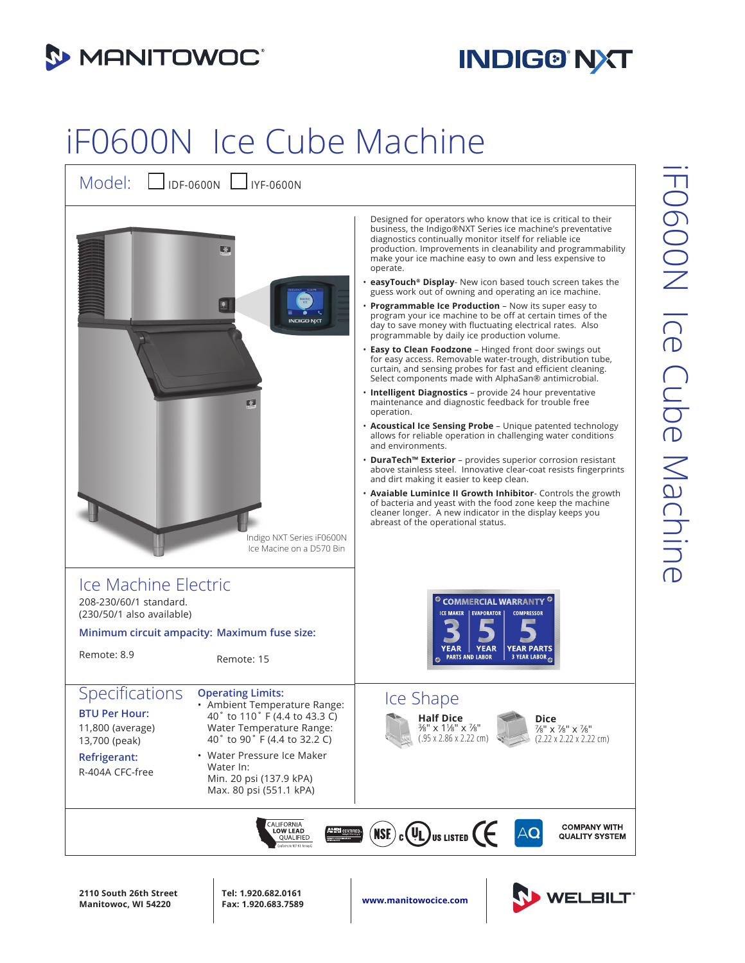

## **INDIG® NXT**

## iF0600N Ice Cube Machine



**2110 South 26th Street Manitowoc, WI 54220**

**Tel: 1.920.682.0161**

**Fax: 1.920.683.7589 www.manitowocice.com**